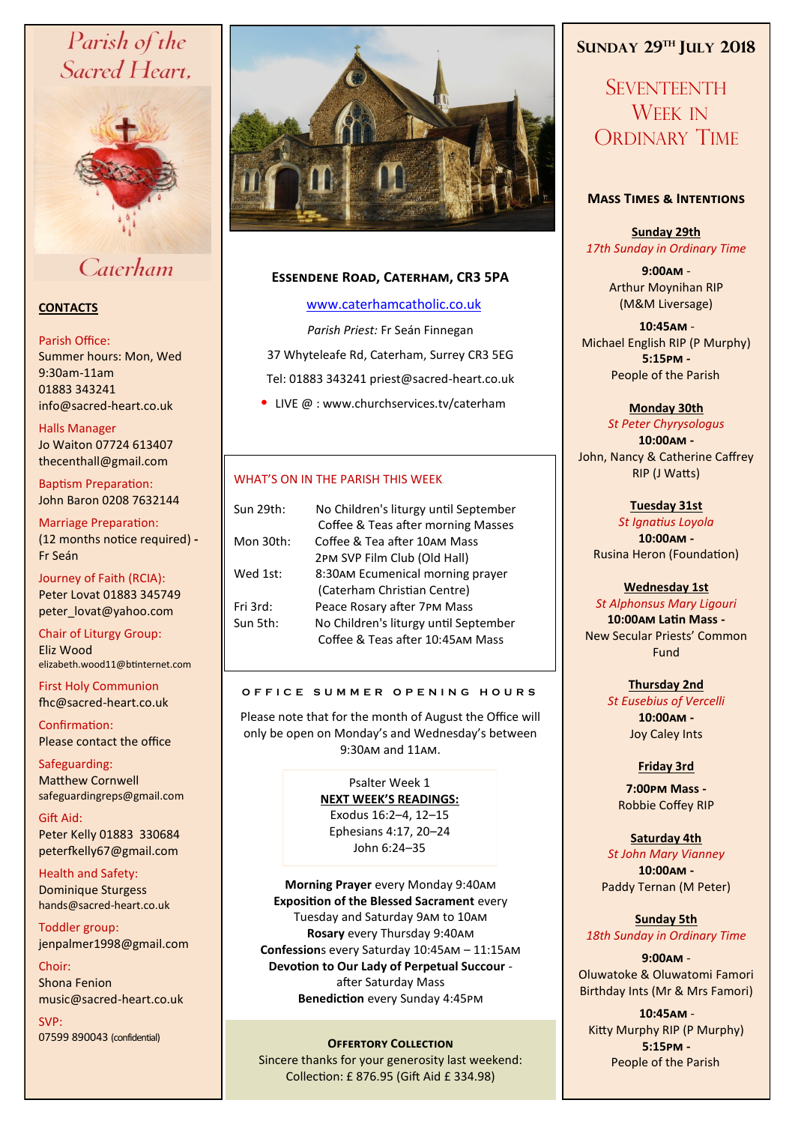# Parish of the Sacred Heart,



## Caterham

## **CONTACTS**

#### Parish Office:

Summer hours: Mon, Wed 9:30am-11am 01883 343241 info@sacred-heart.co.uk .

#### Halls Manager Jo Waiton 07724 613407

thecenthall@gmail.com

Baptism Preparation: John Baron 0208 7632144

#### Marriage Preparation: (12 months notice required) **-** Fr Seán

Journey of Faith (RCIA): Peter Lovat 01883 345749 peter\_lovat@yahoo.com

Chair of Liturgy Group: Eliz Wood elizabeth.wood11@btinternet.com

First Holy Communion fhc@sacred-heart.co.uk

Confirmation: Please contact the office

Safeguarding: Matthew Cornwell safeguardingreps@gmail.com

Gift Aid: Peter Kelly 01883 330684 peterfkelly67@gmail.com

Health and Safety: Dominique Sturgess hands@sacred-heart.co.uk

Toddler group: jenpalmer1998@gmail.com

Choir: Shona Fenion music@sacred-heart.co.uk

SVP: 07599 890043 (confidential)



## **Essendene Road, Caterham, CR3 5PA**

## [www.caterhamcatholic.co.uk](http://Www.caterhamcatholic.co.uk)

*Parish Priest:* Fr Seán Finnegan 37 Whyteleafe Rd, Caterham, Surrey CR3 5EG Tel: 01883 343241 priest@sacred-heart.co.uk

• LIVE @ : www.churchservices.tv/caterham

## WHAT'S ON IN THE PARISH THIS WEEK.

| Sun 29th: | No Children's liturgy until September |
|-----------|---------------------------------------|
|           | Coffee & Teas after morning Masses    |
| Mon 30th: | Coffee & Tea after 10AM Mass          |
|           | 2PM SVP Film Club (Old Hall)          |
| Wed 1st:  | 8:30AM Ecumenical morning prayer      |
|           | (Caterham Christian Centre)           |
| Fri 3rd:  | Peace Rosary after 7PM Mass           |
| Sun 5th:  | No Children's liturgy until September |
|           | Coffee & Teas after 10:45AM Mass      |
|           |                                       |

## **O F F I C E S U M M E R O P E N I N G H O U R S**

Please note that for the month of August the Office will only be open on Monday's and Wednesday's between 9:30am and 11am.

> Psalter Week 1 **NEXT WEEK'S READINGS:**  Exodus 16:2–4, 12–15 Ephesians 4:17, 20–24 John 6:24–35

**Morning Prayer** every Monday 9:40am **Exposition of the Blessed Sacrament** every Tuesday and Saturday 9am to 10am **Rosary** every Thursday 9:40am **Confession**s every Saturday 10:45am – 11:15am **Devotion to Our Lady of Perpetual Succour**  after Saturday Mass **Benediction** every Sunday 4:45pm

## **OFFERTORY COLLECTION**

Sincere thanks for your generosity last weekend: Collection: £ 876.95 (Gift Aid £ 334.98)

## **SUNDAY 29TH JULY 2018**

**SEVENTEENTH** WEEK IN ORDINARY TIME

## **Mass Times & Intentions**

**Sunday 29th** *17th Sunday in Ordinary Time*

> **9:00am** - Arthur Moynihan RIP (M&M Liversage)

.**10:45am** - Michael English RIP (P Murphy) **5:15pm -** People of the Parish.

## **Monday 30th**

*St Peter Chyrysologus* **10:00am -** John, Nancy & Catherine Caffrey RIP (J Watts)

> **Tuesday 31st**  *St Ignatius Loyola* **10:00am -** Rusina Heron (Foundation)

#### **Wednesday 1st**

*St Alphonsus Mary Ligouri* **10:00am Latin Mass -** New Secular Priests' Common Fund

> **Thursday 2nd**  *St Eusebius of Vercelli* **10:00am -** Joy Caley Ints

## **Friday 3rd**

**7:00pm Mass -** Robbie Coffey RIP

## **Saturday 4th**

*St John Mary Vianney* **10:00am -**  Paddy Ternan (M Peter)

**Sunday 5th** *18th Sunday in Ordinary Time*

## **9:00am** -

Oluwatoke & Oluwatomi Famori Birthday Ints (Mr & Mrs Famori)

.**10:45am** - Kitty Murphy RIP (P Murphy) **5:15pm -** People of the Parish.